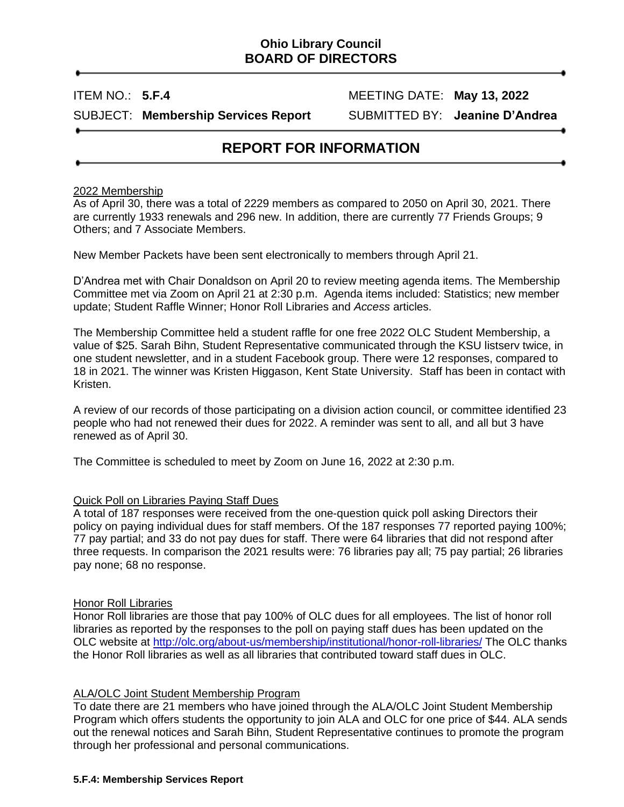# **Ohio Library Council BOARD OF DIRECTORS**

ITEM NO.: **5.F.4** MEETING DATE: **May 13, 2022**

SUBJECT: **Membership Services Report** SUBMITTED BY: **Jeanine D'Andrea**

# **REPORT FOR INFORMATION**

### 2022 Membership

As of April 30, there was a total of 2229 members as compared to 2050 on April 30, 2021. There are currently 1933 renewals and 296 new. In addition, there are currently 77 Friends Groups; 9 Others; and 7 Associate Members.

New Member Packets have been sent electronically to members through April 21.

D'Andrea met with Chair Donaldson on April 20 to review meeting agenda items. The Membership Committee met via Zoom on April 21 at 2:30 p.m. Agenda items included: Statistics; new member update; Student Raffle Winner; Honor Roll Libraries and *Access* articles.

The Membership Committee held a student raffle for one free 2022 OLC Student Membership, a value of \$25. Sarah Bihn, Student Representative communicated through the KSU listserv twice, in one student newsletter, and in a student Facebook group. There were 12 responses, compared to 18 in 2021. The winner was Kristen Higgason, Kent State University. Staff has been in contact with Kristen.

A review of our records of those participating on a division action council, or committee identified 23 people who had not renewed their dues for 2022. A reminder was sent to all, and all but 3 have renewed as of April 30.

The Committee is scheduled to meet by Zoom on June 16, 2022 at 2:30 p.m.

# Quick Poll on Libraries Paying Staff Dues

A total of 187 responses were received from the one-question quick poll asking Directors their policy on paying individual dues for staff members. Of the 187 responses 77 reported paying 100%; 77 pay partial; and 33 do not pay dues for staff. There were 64 libraries that did not respond after three requests. In comparison the 2021 results were: 76 libraries pay all; 75 pay partial; 26 libraries pay none; 68 no response.

#### Honor Roll Libraries

Honor Roll libraries are those that pay 100% of OLC dues for all employees. The list of honor roll libraries as reported by the responses to the poll on paying staff dues has been updated on the OLC website at<http://olc.org/about-us/membership/institutional/honor-roll-libraries/> The OLC thanks the Honor Roll libraries as well as all libraries that contributed toward staff dues in OLC.

## ALA/OLC Joint Student Membership Program

To date there are 21 members who have joined through the ALA/OLC Joint Student Membership Program which offers students the opportunity to join ALA and OLC for one price of \$44. ALA sends out the renewal notices and Sarah Bihn, Student Representative continues to promote the program through her professional and personal communications.

#### **5.F.4: Membership Services Report**